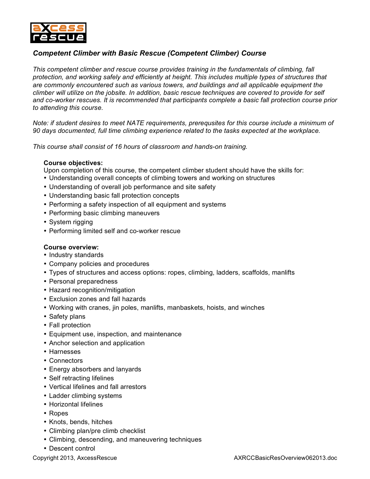

## *Competent Climber with Basic Rescue (Competent Climber) Course*

*This competent climber and rescue course provides training in the fundamentals of climbing, fall protection, and working safely and efficiently at height. This includes multiple types of structures that are commonly encountered such as various towers, and buildings and all applicable equipment the climber will utilize on the jobsite. In addition, basic rescue techniques are covered to provide for self and co-worker rescues. It is recommended that participants complete a basic fall protection course prior to attending this course.*

*Note: if student desires to meet NATE requirements, prerequsites for this course include a minimum of 90 days documented, full time climbing experience related to the tasks expected at the workplace.*

*This course shall consist of 16 hours of classroom and hands-on training.*

## **Course objectives:**

Upon completion of this course, the competent climber student should have the skills for:

- Understanding overall concepts of climbing towers and working on structures
- Understanding of overall job performance and site safety
- Understanding basic fall protection concepts
- Performing a safety inspection of all equipment and systems
- Performing basic climbing maneuvers
- System rigging
- Performing limited self and co-worker rescue

## **Course overview:**

- Industry standards
- Company policies and procedures
- Types of structures and access options: ropes, climbing, ladders, scaffolds, manlifts
- Personal preparedness
- Hazard recognition/mitigation
- Exclusion zones and fall hazards
- Working with cranes, jin poles, manlifts, manbaskets, hoists, and winches
- Safety plans
- Fall protection
- Equipment use, inspection, and maintenance
- Anchor selection and application
- Harnesses
- Connectors
- Energy absorbers and lanyards
- Self retracting lifelines
- Vertical lifelines and fall arrestors
- Ladder climbing systems
- Horizontal lifelines
- Ropes
- Knots, bends, hitches
- Climbing plan/pre climb checklist
- Climbing, descending, and maneuvering techniques
- Descent control